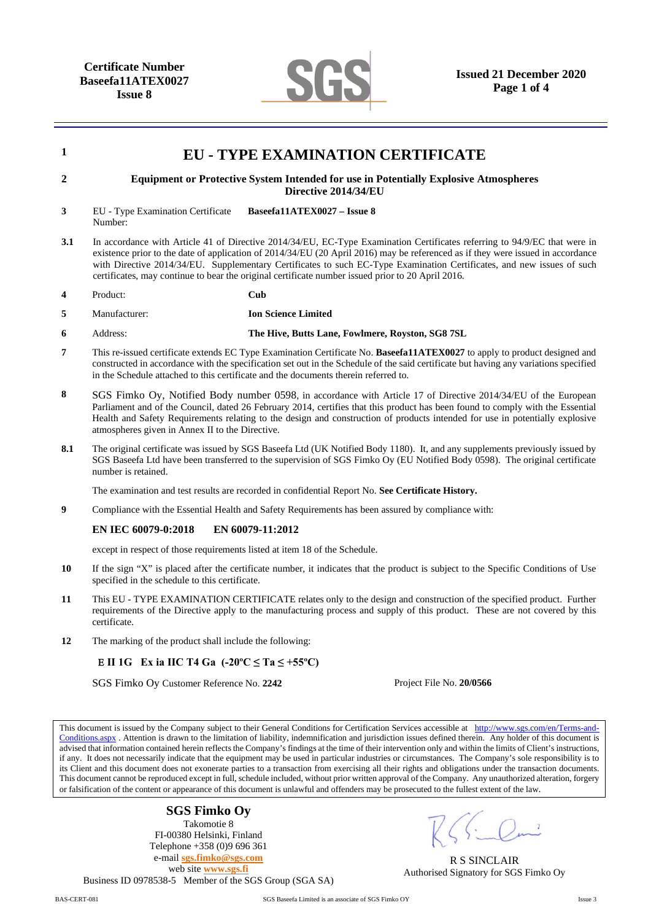

| $\mathbf{1}$   | <b>EU - TYPE EXAMINATION CERTIFICATE</b>                                                                                                                                                                                                                                                                                                                                                                                                                                                    |                                                  |                                                                                                                                                      |  |
|----------------|---------------------------------------------------------------------------------------------------------------------------------------------------------------------------------------------------------------------------------------------------------------------------------------------------------------------------------------------------------------------------------------------------------------------------------------------------------------------------------------------|--------------------------------------------------|------------------------------------------------------------------------------------------------------------------------------------------------------|--|
| $\overline{2}$ | <b>Equipment or Protective System Intended for use in Potentially Explosive Atmospheres</b><br>Directive 2014/34/EU                                                                                                                                                                                                                                                                                                                                                                         |                                                  |                                                                                                                                                      |  |
| 3              | EU - Type Examination Certificate<br>Number:                                                                                                                                                                                                                                                                                                                                                                                                                                                | Baseefa11ATEX0027 - Issue 8                      |                                                                                                                                                      |  |
| 3.1            | In accordance with Article 41 of Directive 2014/34/EU, EC-Type Examination Certificates referring to 94/9/EC that were in<br>existence prior to the date of application of 2014/34/EU (20 April 2016) may be referenced as if they were issued in accordance<br>with Directive 2014/34/EU. Supplementary Certificates to such EC-Type Examination Certificates, and new issues of such<br>certificates, may continue to bear the original certificate number issued prior to 20 April 2016. |                                                  |                                                                                                                                                      |  |
| 4              | Product:                                                                                                                                                                                                                                                                                                                                                                                                                                                                                    | Cub                                              |                                                                                                                                                      |  |
| 5              | Manufacturer:                                                                                                                                                                                                                                                                                                                                                                                                                                                                               | <b>Ion Science Limited</b>                       |                                                                                                                                                      |  |
| 6              | Address:                                                                                                                                                                                                                                                                                                                                                                                                                                                                                    | The Hive, Butts Lane, Fowlmere, Royston, SG8 7SL |                                                                                                                                                      |  |
| $\overline{7}$ | This re-issued certificate extends EC Type Examination Certificate No. Baseefa11ATEX0027 to apply to product designed and<br>constructed in accordance with the specification set out in the Schedule of the said certificate but having any variations specified<br>in the Schedule attached to this certificate and the documents therein referred to.                                                                                                                                    |                                                  |                                                                                                                                                      |  |
| 8              | SGS Fimko Oy, Notified Body number 0598, in accordance with Article 17 of Directive 2014/34/EU of the European<br>Parliament and of the Council, dated 26 February 2014, certifies that this product has been found to comply with the Essential<br>Health and Safety Requirements relating to the design and construction of products intended for use in potentially explosive<br>atmospheres given in Annex II to the Directive.                                                         |                                                  |                                                                                                                                                      |  |
| 8.1            | The original certificate was issued by SGS Baseefa Ltd (UK Notified Body 1180). It, and any supplements previously issued by<br>SGS Baseefa Ltd have been transferred to the supervision of SGS Fimko Oy (EU Notified Body 0598). The original certificate<br>number is retained.                                                                                                                                                                                                           |                                                  |                                                                                                                                                      |  |
|                | The examination and test results are recorded in confidential Report No. See Certificate History.                                                                                                                                                                                                                                                                                                                                                                                           |                                                  |                                                                                                                                                      |  |
| 9              | Compliance with the Essential Health and Safety Requirements has been assured by compliance with:                                                                                                                                                                                                                                                                                                                                                                                           |                                                  |                                                                                                                                                      |  |
|                | EN IEC 60079-0:2018                                                                                                                                                                                                                                                                                                                                                                                                                                                                         | EN 60079-11:2012                                 |                                                                                                                                                      |  |
|                | except in respect of those requirements listed at item 18 of the Schedule.                                                                                                                                                                                                                                                                                                                                                                                                                  |                                                  |                                                                                                                                                      |  |
| 10             | If the sign "X" is placed after the certificate number, it indicates that the product is subject to the Specific Conditions of Use<br>specified in the schedule to this certificate.                                                                                                                                                                                                                                                                                                        |                                                  |                                                                                                                                                      |  |
| 11             | This EU - TYPE EXAMINATION CERTIFICATE relates only to the design and construction of the specified product. Further<br>requirements of the Directive apply to the manufacturing process and supply of this product. These are not covered by this<br>certificate.                                                                                                                                                                                                                          |                                                  |                                                                                                                                                      |  |
| 12             | The marking of the product shall include the following:                                                                                                                                                                                                                                                                                                                                                                                                                                     |                                                  |                                                                                                                                                      |  |
|                | E II 1G Ex ia IIC T4 Ga $(-20^{\circ}C \le Ta \le +55^{\circ}C)$                                                                                                                                                                                                                                                                                                                                                                                                                            |                                                  |                                                                                                                                                      |  |
|                | SGS Fimko Oy Customer Reference No. 2242                                                                                                                                                                                                                                                                                                                                                                                                                                                    |                                                  | Project File No. 20/0566                                                                                                                             |  |
|                |                                                                                                                                                                                                                                                                                                                                                                                                                                                                                             |                                                  | This document is issued by the Company subject to their General Conditions for Certification Services accessible at http://www.sgs.com/en/Terms-and- |  |

Conditions.aspx . Attention is drawn to the limitation of liability, indemnification and jurisdiction issues defined therein. Any holder of this document is advised that information contained herein reflects the Company's findings at the time of their intervention only and within the limits of Client's instructions, if any. It does not necessarily indicate that the equipment may be used in particular industries or circumstances. The Company's sole responsibility is to its Client and this document does not exonerate parties to a transaction from exercising all their rights and obligations under the transaction documents. This document cannot be reproduced except in full, schedule included, without prior written approval of the Company. Any unauthorized alteration, forgery or falsification of the content or appearance of this document is unlawful and offenders may be prosecuted to the fullest extent of the law.

## **SGS Fimko Oy**

Takomotie 8 FI-00380 Helsinki, Finland Telephone +358 (0)9 696 361 e-mail **sgs.fimko@sgs.com** web site **www.sgs.fi** Business ID 0978538-5 Member of the SGS Group (SGA SA)

R S SINCLAIR Authorised Signatory for SGS Fimko Oy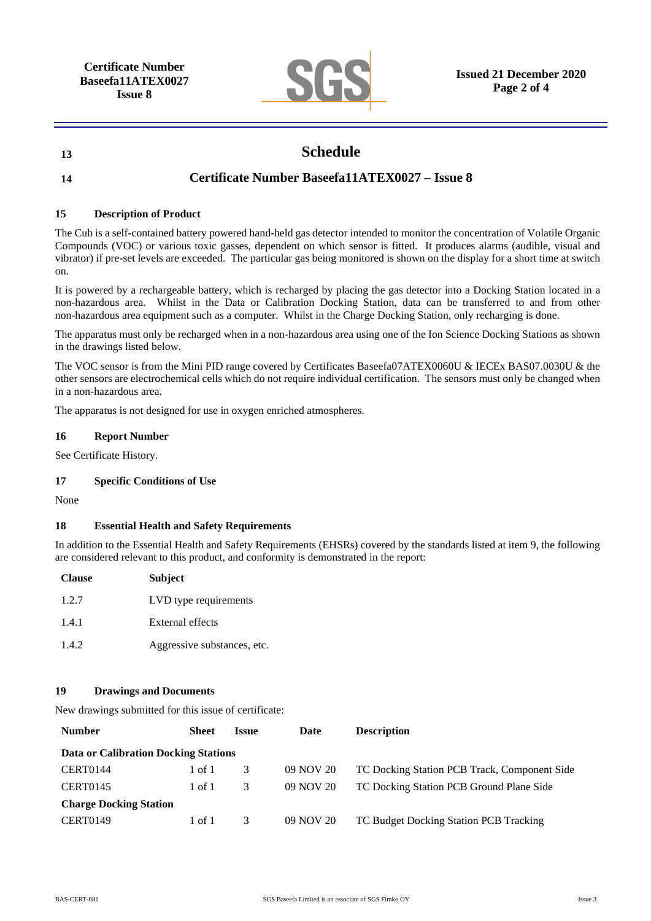

# **13 Schedule**

## **14 Certificate Number Baseefa11ATEX0027 – Issue 8**

#### **15 Description of Product**

The Cub is a self-contained battery powered hand-held gas detector intended to monitor the concentration of Volatile Organic Compounds (VOC) or various toxic gasses, dependent on which sensor is fitted. It produces alarms (audible, visual and vibrator) if pre-set levels are exceeded. The particular gas being monitored is shown on the display for a short time at switch on.

It is powered by a rechargeable battery, which is recharged by placing the gas detector into a Docking Station located in a non-hazardous area. Whilst in the Data or Calibration Docking Station, data can be transferred to and from other non-hazardous area equipment such as a computer. Whilst in the Charge Docking Station, only recharging is done.

The apparatus must only be recharged when in a non-hazardous area using one of the Ion Science Docking Stations as shown in the drawings listed below.

The VOC sensor is from the Mini PID range covered by Certificates Baseefa07ATEX0060U & IECEx BAS07.0030U & the other sensors are electrochemical cells which do not require individual certification. The sensors must only be changed when in a non-hazardous area.

The apparatus is not designed for use in oxygen enriched atmospheres.

#### **16 Report Number**

See Certificate History.

### **17 Specific Conditions of Use**

None

### **18 Essential Health and Safety Requirements**

In addition to the Essential Health and Safety Requirements (EHSRs) covered by the standards listed at item 9, the following are considered relevant to this product, and conformity is demonstrated in the report:

| <b>Clause</b> | <b>Subject</b>              |
|---------------|-----------------------------|
| 1.2.7         | LVD type requirements       |
| 1.4.1         | External effects            |
| 1.4.2         | Aggressive substances, etc. |

#### **19 Drawings and Documents**

New drawings submitted for this issue of certificate:

| <b>Number</b>                        | Sheet  | Issue | Date      | <b>Description</b>                           |  |
|--------------------------------------|--------|-------|-----------|----------------------------------------------|--|
| Data or Calibration Docking Stations |        |       |           |                                              |  |
| CERT0144                             | 1 of 1 | 3     | 09 NOV 20 | TC Docking Station PCB Track, Component Side |  |
| <b>CERT0145</b>                      | 1 of 1 | 3     | 09 NOV 20 | TC Docking Station PCB Ground Plane Side     |  |
| <b>Charge Docking Station</b>        |        |       |           |                                              |  |
| <b>CERT0149</b>                      | 1 of 1 | 3     | 09 NOV 20 | TC Budget Docking Station PCB Tracking       |  |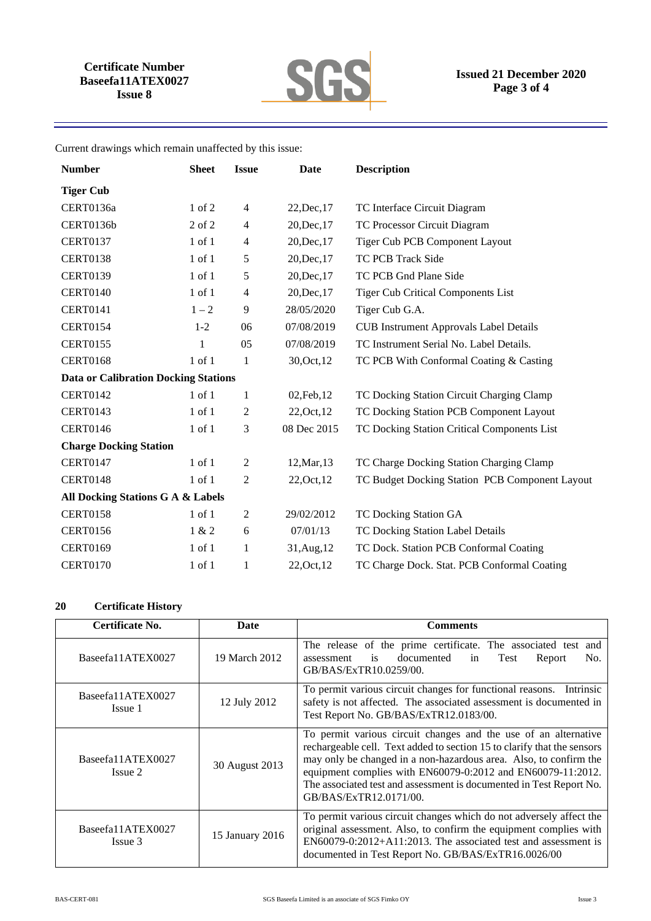

Current drawings which remain unaffected by this issue:

| <b>Number</b>                               | <b>Sheet</b> | <b>Issue</b>   | Date        | <b>Description</b>                             |
|---------------------------------------------|--------------|----------------|-------------|------------------------------------------------|
| <b>Tiger Cub</b>                            |              |                |             |                                                |
| CERT0136a                                   | $1$ of $2$   | $\overline{4}$ | 22, Dec, 17 | TC Interface Circuit Diagram                   |
| CERT0136b                                   | 2 of 2       | 4              | 20, Dec, 17 | TC Processor Circuit Diagram                   |
| <b>CERT0137</b>                             | $1$ of $1$   | $\overline{4}$ | 20, Dec, 17 | Tiger Cub PCB Component Layout                 |
| <b>CERT0138</b>                             | $1$ of $1$   | 5              | 20, Dec, 17 | TC PCB Track Side                              |
| <b>CERT0139</b>                             | $1$ of $1$   | 5              | 20, Dec, 17 | TC PCB Gnd Plane Side                          |
| <b>CERT0140</b>                             | $1$ of $1$   | $\overline{4}$ | 20, Dec, 17 | <b>Tiger Cub Critical Components List</b>      |
| <b>CERT0141</b>                             | $1 - 2$      | 9              | 28/05/2020  | Tiger Cub G.A.                                 |
| <b>CERT0154</b>                             | $1-2$        | 06             | 07/08/2019  | <b>CUB Instrument Approvals Label Details</b>  |
| <b>CERT0155</b>                             | 1            | 05             | 07/08/2019  | TC Instrument Serial No. Label Details.        |
| <b>CERT0168</b>                             | 1 of 1       | $\mathbf{1}$   | 30, Oct, 12 | TC PCB With Conformal Coating & Casting        |
| <b>Data or Calibration Docking Stations</b> |              |                |             |                                                |
| <b>CERT0142</b>                             | $1$ of $1$   | $\mathbf{1}$   | 02, Feb, 12 | TC Docking Station Circuit Charging Clamp      |
| <b>CERT0143</b>                             | $1$ of $1$   | 2              | 22, Oct, 12 | TC Docking Station PCB Component Layout        |
| <b>CERT0146</b>                             | $1$ of $1$   | 3              | 08 Dec 2015 | TC Docking Station Critical Components List    |
| <b>Charge Docking Station</b>               |              |                |             |                                                |
| <b>CERT0147</b>                             | $1$ of $1$   | 2              | 12, Mar, 13 | TC Charge Docking Station Charging Clamp       |
| <b>CERT0148</b>                             | $1$ of $1$   | 2              | 22, Oct, 12 | TC Budget Docking Station PCB Component Layout |
| All Docking Stations G A & Labels           |              |                |             |                                                |
| <b>CERT0158</b>                             | $1$ of $1$   | $\sqrt{2}$     | 29/02/2012  | TC Docking Station GA                          |
| <b>CERT0156</b>                             | 1 & 2        | 6              | 07/01/13    | TC Docking Station Label Details               |
| <b>CERT0169</b>                             | 1 of 1       | $\mathbf{1}$   | 31, Aug, 12 | TC Dock. Station PCB Conformal Coating         |
| <b>CERT0170</b>                             | 1 of 1       | $\mathbf{1}$   | 22, Oct, 12 | TC Charge Dock. Stat. PCB Conformal Coating    |

## **20 Certificate History**

| Certificate No.              | Date            | <b>Comments</b>                                                                                                                                                                                                                                                                                                                                                                 |
|------------------------------|-----------------|---------------------------------------------------------------------------------------------------------------------------------------------------------------------------------------------------------------------------------------------------------------------------------------------------------------------------------------------------------------------------------|
| Baseefa11ATEX0027            | 19 March 2012   | The release of the prime certificate. The associated test and<br>documented<br>is<br>No.<br>Report<br>assessment<br>Test<br>in<br>GB/BAS/ExTR10.0259/00.                                                                                                                                                                                                                        |
| Baseefa11ATEX0027<br>Issue 1 | 12 July 2012    | To permit various circuit changes for functional reasons.<br>Intrinsic<br>safety is not affected. The associated assessment is documented in<br>Test Report No. GB/BAS/ExTR12.0183/00.                                                                                                                                                                                          |
| Baseefa11ATEX0027<br>Issue 2 | 30 August 2013  | To permit various circuit changes and the use of an alternative<br>rechargeable cell. Text added to section 15 to clarify that the sensors<br>may only be changed in a non-hazardous area. Also, to confirm the<br>equipment complies with EN60079-0:2012 and EN60079-11:2012.<br>The associated test and assessment is documented in Test Report No.<br>GB/BAS/ExTR12.0171/00. |
| Baseefa11ATEX0027<br>Issue 3 | 15 January 2016 | To permit various circuit changes which do not adversely affect the<br>original assessment. Also, to confirm the equipment complies with<br>EN60079-0:2012+A11:2013. The associated test and assessment is<br>documented in Test Report No. GB/BAS/ExTR16.0026/00                                                                                                               |